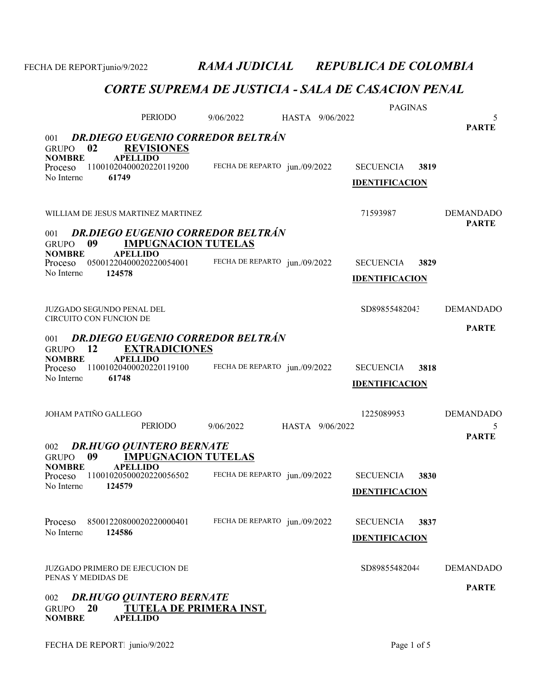|                                                                       |                                                                                           |                               | HASTA 9/06/2022 | <b>PAGINAS</b>                            |      |                                  |
|-----------------------------------------------------------------------|-------------------------------------------------------------------------------------------|-------------------------------|-----------------|-------------------------------------------|------|----------------------------------|
|                                                                       | PERIODO                                                                                   | 9/06/2022                     |                 |                                           |      | 5<br><b>PARTE</b>                |
| <b>DR.DIEGO EUGENIO CORREDOR BELTRÁN</b><br>001                       |                                                                                           |                               |                 |                                           |      |                                  |
| 02<br><b>GRUPO</b><br><b>NOMBRE</b><br>Proceso<br>No Interno<br>61749 | <b>REVISIONES</b><br><b>APELLIDO</b><br>11001020400020220119200                           | FECHA DE REPARTO jun./09/2022 |                 | <b>SECUENCIA</b>                          | 3819 |                                  |
|                                                                       |                                                                                           |                               |                 | <b>IDENTIFICACION</b>                     |      |                                  |
| WILLIAM DE JESUS MARTINEZ MARTINEZ                                    |                                                                                           |                               |                 | 71593987                                  |      | <b>DEMANDADO</b><br><b>PARTE</b> |
| 001<br>09<br><b>GRUPO</b><br><b>NOMBRE</b>                            | <b>DR.DIEGO EUGENIO CORREDOR BELTRÁN</b><br><b>IMPUGNACION TUTELAS</b><br><b>APELLIDO</b> |                               |                 |                                           |      |                                  |
| Proceso<br>No Interno<br>124578                                       | 05001220400020220054001                                                                   | FECHA DE REPARTO jun./09/2022 |                 | <b>SECUENCIA</b><br><b>IDENTIFICACION</b> | 3829 |                                  |
| JUZGADO SEGUNDO PENAL DEL<br>CIRCUITO CON FUNCION DE                  |                                                                                           |                               |                 | SD89855482043                             |      | <b>DEMANDADO</b>                 |
| 001<br><b>12</b><br><b>GRUPO</b>                                      | <b>DR.DIEGO EUGENIO CORREDOR BELTRÁN</b><br><b>EXTRADICIONES</b>                          |                               |                 |                                           |      | <b>PARTE</b>                     |
| <b>NOMBRE</b><br>Proceso<br>No Interno<br>61748                       | <b>APELLIDO</b><br>11001020400020220119100                                                | FECHA DE REPARTO jun./09/2022 |                 | <b>SECUENCIA</b>                          | 3818 |                                  |
|                                                                       |                                                                                           |                               |                 | <b>IDENTIFICACION</b>                     |      |                                  |
| JOHAM PATIÑO GALLEGO                                                  | PERIODO                                                                                   | 9/06/2022                     | HASTA 9/06/2022 | 1225089953                                |      | <b>DEMANDADO</b><br>5            |
|                                                                       |                                                                                           |                               |                 |                                           |      | <b>PARTE</b>                     |
| 002<br>09<br><b>GRUPO</b>                                             | <b>DR.HUGO QUINTERO BERNATE</b><br><b>IMPUGNACION TUTELAS</b>                             |                               |                 |                                           |      |                                  |
| <b>NOMBRE</b><br>Proceso<br>No Interno<br>124579                      | <b>APELLIDO</b><br>11001020500020220056502                                                | FECHA DE REPARTO jun./09/2022 |                 | <b>SECUENCIA</b>                          | 3830 |                                  |
|                                                                       |                                                                                           |                               |                 | <b>IDENTIFICACION</b>                     |      |                                  |
| Proceso                                                               | 85001220800020220000401                                                                   | FECHA DE REPARTO jun./09/2022 |                 | <b>SECUENCIA</b>                          | 3837 |                                  |
| No Interno<br>124586                                                  |                                                                                           |                               |                 | <b>IDENTIFICACION</b>                     |      |                                  |
| JUZGADO PRIMERO DE EJECUCION DE<br>PENAS Y MEDIDAS DE                 |                                                                                           |                               |                 | SD89855482044                             |      | <b>DEMANDADO</b>                 |
| 002<br>20<br><b>GRUPO</b><br><b>NOMBRE</b>                            | <b>DR.HUGO QUINTERO BERNATE</b><br><b>TUTELA DE PRIMERA INST.</b><br><b>APELLIDO</b>      |                               |                 |                                           |      | <b>PARTE</b>                     |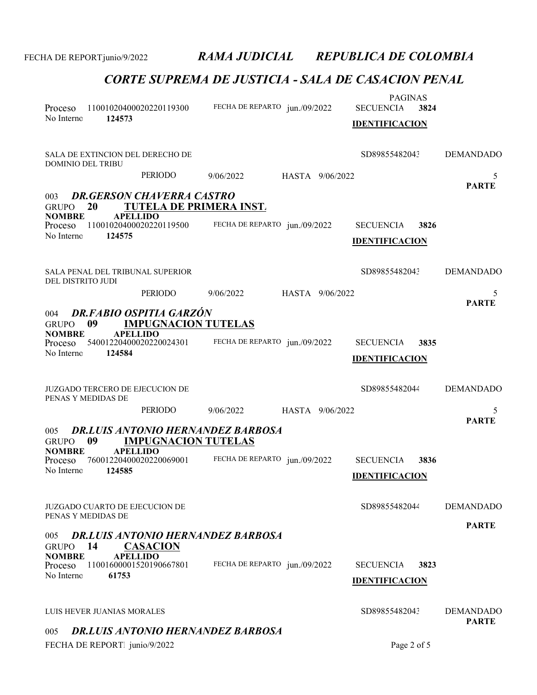| Proceso<br>No Interno<br>124573                                               | 11001020400020220119300                                                                                    | FECHA DE REPARTO jun./09/2022                                             |                 | <b>PAGINAS</b><br><b>SECUENCIA</b><br><b>IDENTIFICACION</b> | 3824 |                                  |
|-------------------------------------------------------------------------------|------------------------------------------------------------------------------------------------------------|---------------------------------------------------------------------------|-----------------|-------------------------------------------------------------|------|----------------------------------|
| SALA DE EXTINCION DEL DERECHO DE<br><b>DOMINIO DEL TRIBU</b>                  |                                                                                                            |                                                                           |                 | SD89855482043                                               |      | <b>DEMANDADO</b>                 |
|                                                                               | PERIODO                                                                                                    | 9/06/2022                                                                 | HASTA 9/06/2022 |                                                             |      | 5                                |
| 003<br>20<br><b>GRUPO</b><br><b>NOMBRE</b><br>Proceso<br>No Interno<br>124575 | <b>DR.GERSON CHAVERRA CASTRO</b><br>TUTELA DE PRIMERA INST.<br><b>APELLIDO</b><br>11001020400020220119500  | FECHA DE REPARTO jun./09/2022                                             |                 | <b>SECUENCIA</b><br><b>IDENTIFICACION</b>                   | 3826 | <b>PARTE</b>                     |
| <b>SALA PENAL DEL TRIBUNAL SUPERIOR</b><br>DEL DISTRITO JUDI                  |                                                                                                            |                                                                           |                 | SD89855482043                                               |      | <b>DEMANDADO</b>                 |
|                                                                               | PERIODO                                                                                                    | 9/06/2022                                                                 | HASTA 9/06/2022 |                                                             |      | 5                                |
| 004<br>09<br><b>GRUPO</b><br><b>NOMBRE</b><br>Proceso<br>No Interno<br>124584 | <b>DR.FABIO OSPITIA GARZÓN</b><br><b>IMPUGNACION TUTELAS</b><br><b>APELLIDO</b><br>54001220400020220024301 | FECHA DE REPARTO jun./09/2022                                             |                 | <b>SECUENCIA</b><br><b>IDENTIFICACION</b>                   | 3835 | <b>PARTE</b>                     |
| <b>JUZGADO TERCERO DE EJECUCION DE</b><br>PENAS Y MEDIDAS DE                  |                                                                                                            |                                                                           |                 | SD89855482044                                               |      | <b>DEMANDADO</b>                 |
|                                                                               | PERIODO                                                                                                    | 9/06/2022                                                                 | HASTA 9/06/2022 |                                                             |      | 5                                |
| 005<br>09<br><b>GRUPO</b><br><b>NOMBRE</b>                                    | <b>IMPUGNACION TUTELAS</b><br><b>APELLIDO</b>                                                              | <b>DR.LUIS ANTONIO HERNANDEZ BARBOSA</b>                                  |                 |                                                             |      | <b>PARTE</b>                     |
| Proceso<br>No Interno<br>124585                                               | 76001220400020220069001                                                                                    | FECHA DE REPARTO jun./09/2022                                             |                 | <b>SECUENCIA</b><br><b>IDENTIFICACION</b>                   | 3836 |                                  |
| <b>JUZGADO CUARTO DE EJECUCION DE</b><br>PENAS Y MEDIDAS DE                   |                                                                                                            |                                                                           |                 | SD89855482044                                               |      | <b>DEMANDADO</b>                 |
| 005<br>14<br><b>GRUPO</b><br><b>NOMBRE</b><br>Proceso<br>No Interno<br>61753  | <b>CASACION</b><br><b>APELLIDO</b><br>11001600001520190667801                                              | <b>DR.LUIS ANTONIO HERNANDEZ BARBOSA</b><br>FECHA DE REPARTO jun./09/2022 |                 | <b>SECUENCIA</b><br><b>IDENTIFICACION</b>                   | 3823 | <b>PARTE</b>                     |
|                                                                               |                                                                                                            |                                                                           |                 |                                                             |      |                                  |
| LUIS HEVER JUANIAS MORALES                                                    |                                                                                                            |                                                                           |                 | SD89855482043                                               |      | <b>DEMANDADO</b><br><b>PARTE</b> |
| 005                                                                           |                                                                                                            | <b>DR.LUIS ANTONIO HERNANDEZ BARBOSA</b>                                  |                 |                                                             |      |                                  |
| FECHA DE REPORT. junio/9/2022                                                 |                                                                                                            |                                                                           |                 | Page 2 of 5                                                 |      |                                  |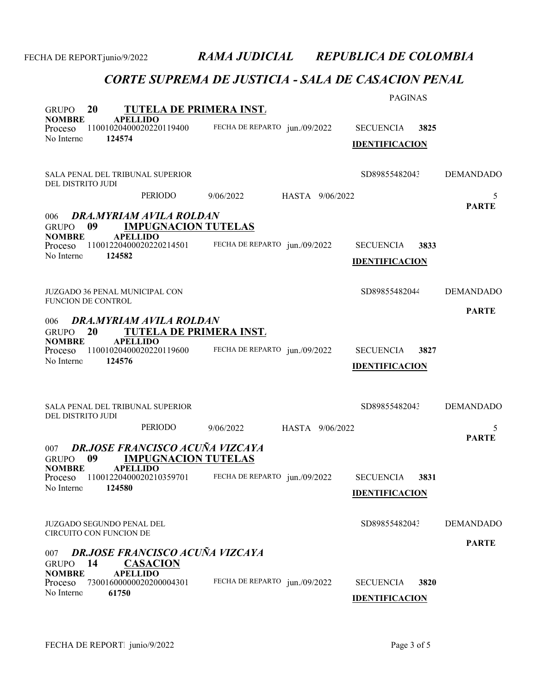|                                                                    |                                                                      |                               |                 | <b>PAGINAS</b>        |      |                   |
|--------------------------------------------------------------------|----------------------------------------------------------------------|-------------------------------|-----------------|-----------------------|------|-------------------|
| <b>20</b><br><b>GRUPO</b><br><b>APELLIDO</b><br><b>NOMBRE</b>      | TUTELA DE PRIMERA INST.                                              |                               |                 |                       |      |                   |
| Proceso<br>124574<br>No Interno                                    | 11001020400020220119400                                              | FECHA DE REPARTO jun./09/2022 |                 | <b>SECUENCIA</b>      | 3825 |                   |
|                                                                    |                                                                      |                               |                 | <b>IDENTIFICACION</b> |      |                   |
| SALA PENAL DEL TRIBUNAL SUPERIOR<br>DEL DISTRITO JUDI              |                                                                      |                               |                 | SD89855482043         |      | <b>DEMANDADO</b>  |
|                                                                    | PERIODO                                                              | 9/06/2022                     | HASTA 9/06/2022 |                       |      | 5                 |
| 006<br>09<br><b>GRUPO</b>                                          | DRA.MYRIAM AVILA ROLDAN<br><b>IMPUGNACION TUTELAS</b>                |                               |                 |                       |      | <b>PARTE</b>      |
| <b>APELLIDO</b><br><b>NOMBRE</b><br>Proceso                        | 11001220400020220214501                                              | FECHA DE REPARTO jun./09/2022 |                 | <b>SECUENCIA</b>      | 3833 |                   |
| No Interno<br>124582                                               |                                                                      |                               |                 | <b>IDENTIFICACION</b> |      |                   |
|                                                                    |                                                                      |                               |                 |                       |      |                   |
| <b>JUZGADO 36 PENAL MUNICIPAL CON</b><br><b>FUNCION DE CONTROL</b> |                                                                      |                               |                 | SD89855482044         |      | <b>DEMANDADO</b>  |
|                                                                    |                                                                      |                               |                 |                       |      | <b>PARTE</b>      |
| 006<br>20<br><b>GRUPO</b>                                          | DRA.MYRIAM AVILA ROLDAN<br>TUTELA DE PRIMERA INST.                   |                               |                 |                       |      |                   |
| <b>NOMBRE</b><br><b>APELLIDO</b><br>Proceso                        | 11001020400020220119600                                              | FECHA DE REPARTO jun./09/2022 |                 | <b>SECUENCIA</b>      | 3827 |                   |
| No Interno<br>124576                                               |                                                                      |                               |                 | <b>IDENTIFICACION</b> |      |                   |
|                                                                    |                                                                      |                               |                 |                       |      |                   |
| SALA PENAL DEL TRIBUNAL SUPERIOR                                   |                                                                      |                               |                 | SD89855482043         |      | <b>DEMANDADO</b>  |
| DEL DISTRITO JUDI                                                  |                                                                      |                               |                 |                       |      |                   |
|                                                                    | PERIODO                                                              | 9/06/2022                     | HASTA 9/06/2022 |                       |      | 5<br><b>PARTE</b> |
| 007<br>09<br><b>GRUPO</b>                                          | <b>DR.JOSE FRANCISCO ACUÑA VIZCAYA</b><br><b>IMPUGNACION TUTELAS</b> |                               |                 |                       |      |                   |
| <b>NOMBRE</b><br><b>APELLIDO</b><br>Proceso                        | 11001220400020210359701                                              | FECHA DE REPARTO jun./09/2022 |                 | <b>SECUENCIA</b>      | 3831 |                   |
| No Interno<br>124580                                               |                                                                      |                               |                 | <b>IDENTIFICACION</b> |      |                   |
|                                                                    |                                                                      |                               |                 |                       |      |                   |
| <b>JUZGADO SEGUNDO PENAL DEL</b><br><b>CIRCUITO CON FUNCION DE</b> |                                                                      |                               |                 | SD89855482043         |      | <b>DEMANDADO</b>  |
|                                                                    |                                                                      |                               |                 |                       |      | <b>PARTE</b>      |
| 007<br>14<br><b>GRUPO</b>                                          | DR.JOSE FRANCISCO ACUÑA VIZCAYA<br><b>CASACION</b>                   |                               |                 |                       |      |                   |
| <b>APELLIDO</b><br><b>NOMBRE</b><br>Proceso                        | 73001600000020200004301                                              | FECHA DE REPARTO jun./09/2022 |                 | <b>SECUENCIA</b>      | 3820 |                   |
| No Interno<br>61750                                                |                                                                      |                               |                 | <b>IDENTIFICACION</b> |      |                   |
|                                                                    |                                                                      |                               |                 |                       |      |                   |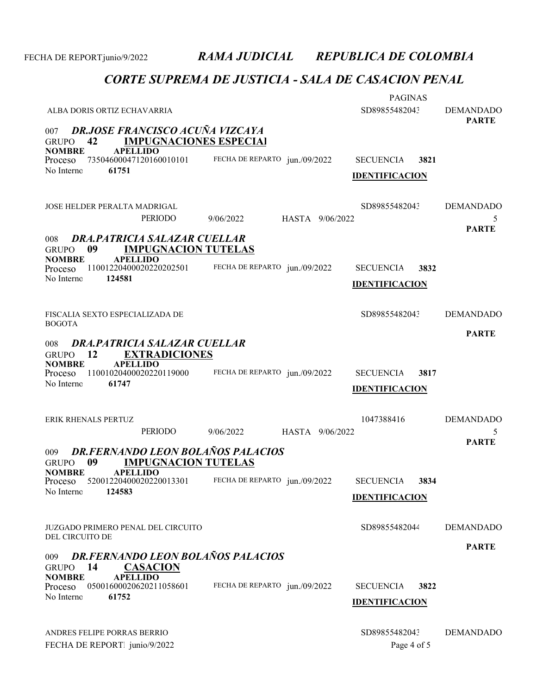| ALBA DORIS ORTIZ ECHAVARRIA                                                                          |                               | <b>PAGINAS</b><br>SD89855482043 | <b>DEMANDADO</b>  |  |  |
|------------------------------------------------------------------------------------------------------|-------------------------------|---------------------------------|-------------------|--|--|
| <b>DR.JOSE FRANCISCO ACUÑA VIZCAYA</b><br>007<br><b>IMPUGNACIONES ESPECIAL</b><br>42<br><b>GRUPO</b> |                               |                                 | <b>PARTE</b>      |  |  |
| <b>NOMBRE</b><br><b>APELLIDO</b><br>73504600047120160010101<br>Proceso                               | FECHA DE REPARTO jun./09/2022 | <b>SECUENCIA</b><br>3821        |                   |  |  |
| No Interno<br>61751                                                                                  |                               | <b>IDENTIFICACION</b>           |                   |  |  |
| JOSE HELDER PERALTA MADRIGAL                                                                         |                               | SD89855482043                   | <b>DEMANDADO</b>  |  |  |
| PERIODO                                                                                              | 9/06/2022<br>HASTA 9/06/2022  |                                 | 5<br><b>PARTE</b> |  |  |
| DRA, PATRICIA SALAZAR CUELLAR<br>008<br>09<br><b>IMPUGNACION TUTELAS</b><br><b>GRUPO</b>             |                               |                                 |                   |  |  |
| <b>NOMBRE</b><br><b>APELLIDO</b><br>11001220400020220202501<br>Proceso                               | FECHA DE REPARTO jun./09/2022 | <b>SECUENCIA</b><br>3832        |                   |  |  |
| No Interno<br>124581                                                                                 |                               | <b>IDENTIFICACION</b>           |                   |  |  |
| FISCALIA SEXTO ESPECIALIZADA DE<br><b>BOGOTA</b>                                                     |                               | SD89855482043                   | <b>DEMANDADO</b>  |  |  |
| <b>DRA.PATRICIA SALAZAR CUELLAR</b><br>008<br><b>12</b><br><b>EXTRADICIONES</b><br><b>GRUPO</b>      |                               |                                 | <b>PARTE</b>      |  |  |
| <b>NOMBRE</b><br><b>APELLIDO</b>                                                                     |                               |                                 |                   |  |  |
| 11001020400020220119000<br>Proceso<br>No Interno<br>61747                                            | FECHA DE REPARTO jun./09/2022 | <b>SECUENCIA</b><br>3817        |                   |  |  |
|                                                                                                      |                               | <b>IDENTIFICACION</b>           |                   |  |  |
| ERIK RHENALS PERTUZ                                                                                  |                               | 1047388416                      | <b>DEMANDADO</b>  |  |  |
| PERIODO                                                                                              | 9/06/2022<br>HASTA 9/06/2022  |                                 | 5<br><b>PARTE</b> |  |  |
| DR.FERNANDO LEON BOLAÑOS PALACIOS<br>009<br>09<br><b>IMPUGNACION TUTELAS</b><br><b>GRUPO</b>         |                               |                                 |                   |  |  |
| <b>NOMBRE</b><br><b>APELLIDO</b><br>Proceso 52001220400020220013301                                  | FECHA DE REPARTO jun./09/2022 | <b>SECUENCIA</b><br>3834        |                   |  |  |
| 124583<br>No Interno                                                                                 |                               | <b>IDENTIFICACION</b>           |                   |  |  |
| JUZGADO PRIMERO PENAL DEL CIRCUITO                                                                   |                               | SD89855482044                   | <b>DEMANDADO</b>  |  |  |
| DEL CIRCUITO DE                                                                                      |                               |                                 | <b>PARTE</b>      |  |  |
| <b>DR.FERNANDO LEON BOLAÑOS PALACIOS</b><br>009<br><b>CASACION</b><br>14<br><b>GRUPO</b>             |                               |                                 |                   |  |  |
| <b>APELLIDO</b><br><b>NOMBRE</b><br>05001600020620211058601<br>Proceso                               | FECHA DE REPARTO jun./09/2022 | 3822<br><b>SECUENCIA</b>        |                   |  |  |
| 61752<br>No Interno                                                                                  |                               | <b>IDENTIFICACION</b>           |                   |  |  |
| ANDRES FELIPE PORRAS BERRIO                                                                          |                               | SD89855482043                   | <b>DEMANDADO</b>  |  |  |
| FECHA DE REPORT junio/9/2022                                                                         |                               | Page 4 of 5                     |                   |  |  |